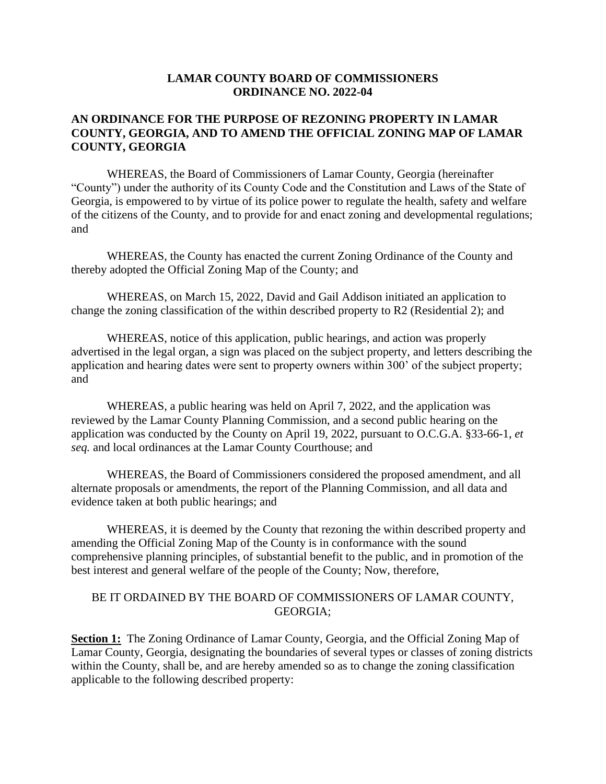## **LAMAR COUNTY BOARD OF COMMISSIONERS ORDINANCE NO. 2022-04**

## **AN ORDINANCE FOR THE PURPOSE OF REZONING PROPERTY IN LAMAR COUNTY, GEORGIA, AND TO AMEND THE OFFICIAL ZONING MAP OF LAMAR COUNTY, GEORGIA**

WHEREAS, the Board of Commissioners of Lamar County, Georgia (hereinafter "County") under the authority of its County Code and the Constitution and Laws of the State of Georgia, is empowered to by virtue of its police power to regulate the health, safety and welfare of the citizens of the County, and to provide for and enact zoning and developmental regulations; and

WHEREAS, the County has enacted the current Zoning Ordinance of the County and thereby adopted the Official Zoning Map of the County; and

WHEREAS, on March 15, 2022, David and Gail Addison initiated an application to change the zoning classification of the within described property to R2 (Residential 2); and

WHEREAS, notice of this application, public hearings, and action was properly advertised in the legal organ, a sign was placed on the subject property, and letters describing the application and hearing dates were sent to property owners within 300' of the subject property; and

WHEREAS, a public hearing was held on April 7, 2022, and the application was reviewed by the Lamar County Planning Commission, and a second public hearing on the application was conducted by the County on April 19, 2022, pursuant to O.C.G.A. §33-66-1, *et seq.* and local ordinances at the Lamar County Courthouse; and

WHEREAS, the Board of Commissioners considered the proposed amendment, and all alternate proposals or amendments, the report of the Planning Commission, and all data and evidence taken at both public hearings; and

WHEREAS, it is deemed by the County that rezoning the within described property and amending the Official Zoning Map of the County is in conformance with the sound comprehensive planning principles, of substantial benefit to the public, and in promotion of the best interest and general welfare of the people of the County; Now, therefore,

## BE IT ORDAINED BY THE BOARD OF COMMISSIONERS OF LAMAR COUNTY, GEORGIA;

**Section 1:** The Zoning Ordinance of Lamar County, Georgia, and the Official Zoning Map of Lamar County, Georgia, designating the boundaries of several types or classes of zoning districts within the County, shall be, and are hereby amended so as to change the zoning classification applicable to the following described property: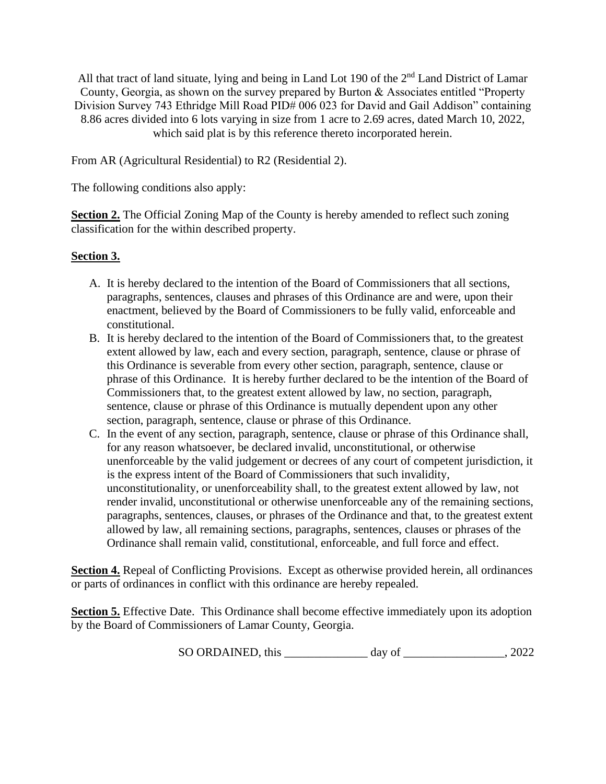All that tract of land situate, lying and being in Land Lot 190 of the 2<sup>nd</sup> Land District of Lamar County, Georgia, as shown on the survey prepared by Burton & Associates entitled "Property Division Survey 743 Ethridge Mill Road PID# 006 023 for David and Gail Addison" containing 8.86 acres divided into 6 lots varying in size from 1 acre to 2.69 acres, dated March 10, 2022, which said plat is by this reference thereto incorporated herein.

From AR (Agricultural Residential) to R2 (Residential 2).

The following conditions also apply:

**Section 2.** The Official Zoning Map of the County is hereby amended to reflect such zoning classification for the within described property.

## **Section 3.**

- A. It is hereby declared to the intention of the Board of Commissioners that all sections, paragraphs, sentences, clauses and phrases of this Ordinance are and were, upon their enactment, believed by the Board of Commissioners to be fully valid, enforceable and constitutional.
- B. It is hereby declared to the intention of the Board of Commissioners that, to the greatest extent allowed by law, each and every section, paragraph, sentence, clause or phrase of this Ordinance is severable from every other section, paragraph, sentence, clause or phrase of this Ordinance. It is hereby further declared to be the intention of the Board of Commissioners that, to the greatest extent allowed by law, no section, paragraph, sentence, clause or phrase of this Ordinance is mutually dependent upon any other section, paragraph, sentence, clause or phrase of this Ordinance.
- C. In the event of any section, paragraph, sentence, clause or phrase of this Ordinance shall, for any reason whatsoever, be declared invalid, unconstitutional, or otherwise unenforceable by the valid judgement or decrees of any court of competent jurisdiction, it is the express intent of the Board of Commissioners that such invalidity, unconstitutionality, or unenforceability shall, to the greatest extent allowed by law, not render invalid, unconstitutional or otherwise unenforceable any of the remaining sections, paragraphs, sentences, clauses, or phrases of the Ordinance and that, to the greatest extent allowed by law, all remaining sections, paragraphs, sentences, clauses or phrases of the Ordinance shall remain valid, constitutional, enforceable, and full force and effect.

**Section 4.** Repeal of Conflicting Provisions. Except as otherwise provided herein, all ordinances or parts of ordinances in conflict with this ordinance are hereby repealed.

**Section 5.** Effective Date. This Ordinance shall become effective immediately upon its adoption by the Board of Commissioners of Lamar County, Georgia.

SO ORDAINED, this \_\_\_\_\_\_\_\_\_\_\_\_\_\_ day of \_\_\_\_\_\_\_\_\_\_\_\_\_\_\_\_\_, 2022